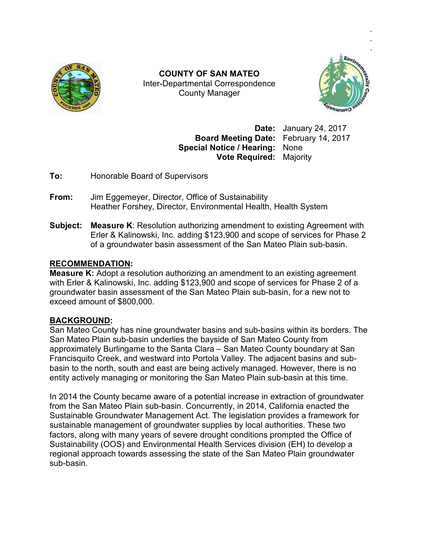

Inter Inter-Departmental Correspondence **COUNTY OF SAN MATEO**  County Manager



**Date:** January 24, 2017 Board Meeting Date: February 14, 2017 **Special Notice / Hearing:** None **Vote Required:** Majority

**To:** Honorable Board of Supervisors

- **From:** Jim Eggemeyer, Director, Office of Sustainability Heather Forshey, Director, Environmental Health, Health System **From:** Jim Eggemeyer, Director, Office of Sustainability<br> **From:** Jim Eggemeyer, Director, Office of Sustainability<br>
Heather Forshey, Director, Environmental Health, Health System<br> **Subject: Measure K**: Resolution authori
- Erler & Kalinowski, Inc. adding \$123,900 and scope of services for Phase 2 of a groundwater basin assessment of the San Mateo Plain sub-basin.

### **RECOMMENDATION:**

**Measure K:** Adopt a resolution authorizing an amendment to an existing agreement with Erler & Kalinowski, Inc. adding \$123,900 and scope of services for Phase 2 of a groundwater basin assessment of the San Mateo Plain sub-basin, for a new not to exceed amount of \$800,000. groundwater basin assessment of the San Mateo Plain sub-basin, for a new not to<br>exceed amount of \$800,000.<br>BACKGROUND:<br>San Mateo County has nine groundwater basins and sub-basins within its borders. The

# **BACKGROUND:**

San Mateo Plain sub-basin underlies the bayside of San Mateo County from San Mateo Plain sub-basin underlies the bayside of San Mateo County from<br>approximately Burlingame to the Santa Clara – San Mateo County boundary at San Francisquito Creek, and westward into Portola Valley. The adjacent basins and subbasin to the north, south and east are being actively managed. However, there is no basin to the north, south and east are being actively managed. However, there is r<br>entity actively managing or monitoring the San Mateo Plain sub-basin at this time.

In 2014 the County became aware of a potential increase in extraction of groundwater In 2014 the County became aware of a potential increase in extraction of groundwa<br>from the San Mateo Plain sub-basin. Concurrently, in 2014, California enacted the Sustainable Groundwater Management Act. The legislation provides a framework for<br>sustainable management of groundwater supplies by local authorities. These two sustainable management of groundwater supplies by local authorities. These two factors, along with many years of severe drought conditions prompted the Office of Sustainability (OOS) and Environmental Health Services division (EH) to develop a regional approach towards assessing the state of the San Mateo Plain groundwater sub-basin. **Example 12 and 12 and 12 and 12 and 12 and 12 and 12 and 12 and 12 and 12 and 12 and 12 and 12 and 12 and 12 and 12 and 12 and 12 and 12 and 12 and 12 and 12 and 12 and 12 and 12 and 12 and 12 and 12 and 12 and 12 and 12**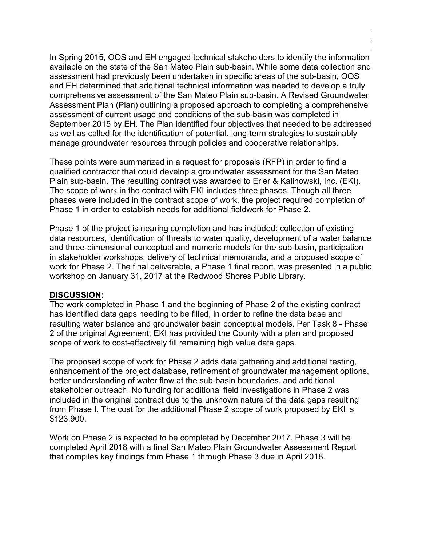In Spring 2015, OOS and EH engaged technical stakeholders to identify the information available on the state of the San Mateo Plain sub-basin. While some data collection and assessment had previously been undertaken in specific areas of the sub-basin, OOS and EH determined that additional technical information was needed to develop a truly comprehensive assessment of the San Mateo Plain sub-basin. A Revised Groundwater Assessment Plan (Plan) outlining a proposed approach to completing a comprehensive assessment of current usage and conditions of the sub-basin was completed in September 2015 by EH. The Plan identified four objectives that needed to be addressed as well as called for the identification of potential, long-term strategies to sustainably manage groundwater resources through policies and cooperative relationships.

. . .

These points were summarized in a request for proposals (RFP) in order to find a qualified contractor that could develop a groundwater assessment for the San Mateo Plain sub-basin. The resulting contract was awarded to Erler & Kalinowski, Inc. (EKI). The scope of work in the contract with EKI includes three phases. Though all three phases were included in the contract scope of work, the project required completion of Phase 1 in order to establish needs for additional fieldwork for Phase 2.

Phase 1 of the project is nearing completion and has included: collection of existing data resources, identification of threats to water quality, development of a water balance and three-dimensional conceptual and numeric models for the sub-basin, participation in stakeholder workshops, delivery of technical memoranda, and a proposed scope of work for Phase 2. The final deliverable, a Phase 1 final report, was presented in a public workshop on January 31, 2017 at the Redwood Shores Public Library.

#### **DISCUSSION:**

The work completed in Phase 1 and the beginning of Phase 2 of the existing contract has identified data gaps needing to be filled, in order to refine the data base and resulting water balance and groundwater basin conceptual models. Per Task 8 - Phase 2 of the original Agreement, EKI has provided the County with a plan and proposed scope of work to cost-effectively fill remaining high value data gaps.

The proposed scope of work for Phase 2 adds data gathering and additional testing, enhancement of the project database, refinement of groundwater management options, better understanding of water flow at the sub-basin boundaries, and additional stakeholder outreach. No funding for additional field investigations in Phase 2 was included in the original contract due to the unknown nature of the data gaps resulting from Phase I. The cost for the additional Phase 2 scope of work proposed by EKI is \$123,900.

Work on Phase 2 is expected to be completed by December 2017. Phase 3 will be completed April 2018 with a final San Mateo Plain Groundwater Assessment Report that compiles key findings from Phase 1 through Phase 3 due in April 2018.